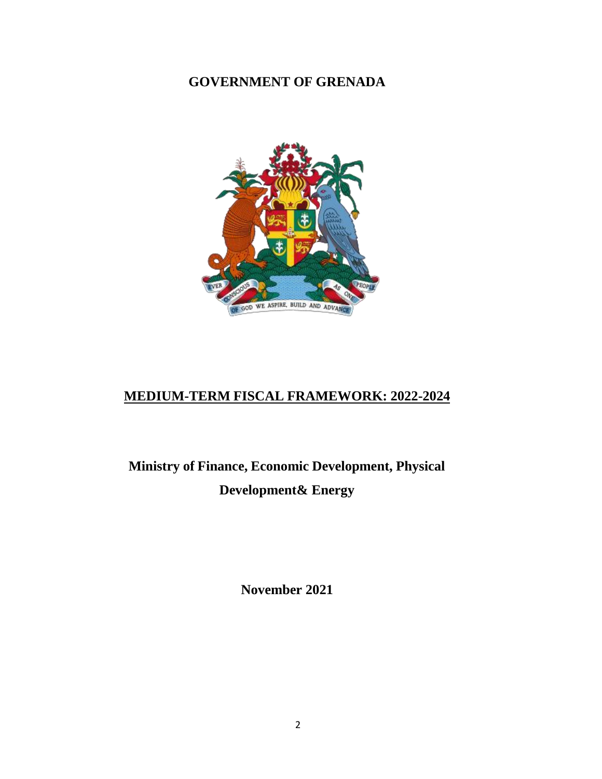### **GOVERNMENT OF GRENADA**



# **MEDIUM-TERM FISCAL FRAMEWORK: 2022-2024**

**Ministry of Finance, Economic Development, Physical Development& Energy**

**November 2021**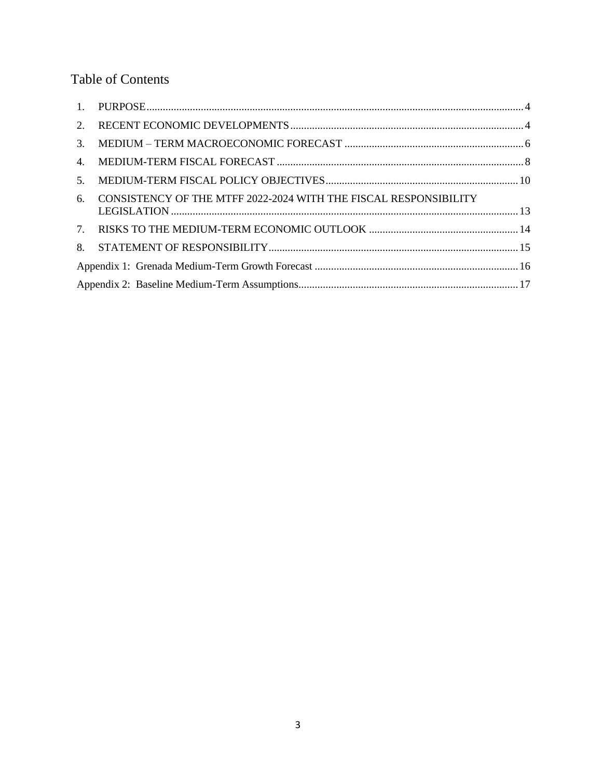# Table of Contents

| 2. |                                                                     |  |  |  |  |  |
|----|---------------------------------------------------------------------|--|--|--|--|--|
|    |                                                                     |  |  |  |  |  |
| 4. |                                                                     |  |  |  |  |  |
| 5. |                                                                     |  |  |  |  |  |
|    | 6. CONSISTENCY OF THE MTFF 2022-2024 WITH THE FISCAL RESPONSIBILITY |  |  |  |  |  |
|    |                                                                     |  |  |  |  |  |
| 8. |                                                                     |  |  |  |  |  |
|    |                                                                     |  |  |  |  |  |
|    |                                                                     |  |  |  |  |  |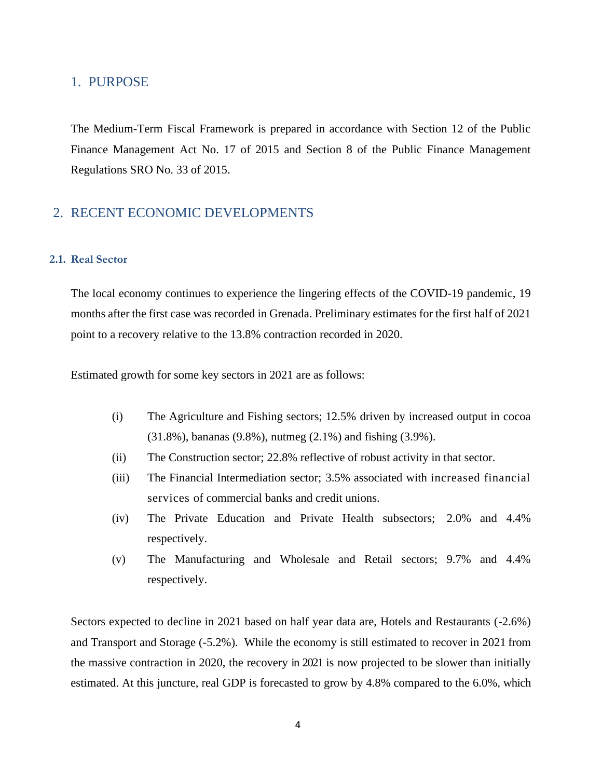#### <span id="page-2-0"></span>1. PURPOSE

The Medium-Term Fiscal Framework is prepared in accordance with Section 12 of the Public Finance Management Act No. 17 of 2015 and Section 8 of the Public Finance Management Regulations SRO No. 33 of 2015.

### <span id="page-2-1"></span>2. RECENT ECONOMIC DEVELOPMENTS

#### **2.1. Real Sector**

The local economy continues to experience the lingering effects of the COVID-19 pandemic, 19 months after the first case was recorded in Grenada. Preliminary estimates for the first half of 2021 point to a recovery relative to the 13.8% contraction recorded in 2020.

Estimated growth for some key sectors in 2021 are as follows:

- (i) The Agriculture and Fishing sectors; 12.5% driven by increased output in cocoa (31.8%), bananas (9.8%), nutmeg (2.1%) and fishing (3.9%).
- (ii) The Construction sector; 22.8% reflective of robust activity in that sector.
- (iii) The Financial Intermediation sector; 3.5% associated with increased financial services of commercial banks and credit unions.
- (iv) The Private Education and Private Health subsectors; 2.0% and 4.4% respectively.
- (v) The Manufacturing and Wholesale and Retail sectors; 9.7% and 4.4% respectively.

Sectors expected to decline in 2021 based on half year data are, Hotels and Restaurants (-2.6%) and Transport and Storage (-5.2%). While the economy is still estimated to recover in 2021 from the massive contraction in 2020, the recovery in 2021 is now projected to be slower than initially estimated. At this juncture, real GDP is forecasted to grow by 4.8% compared to the 6.0%, which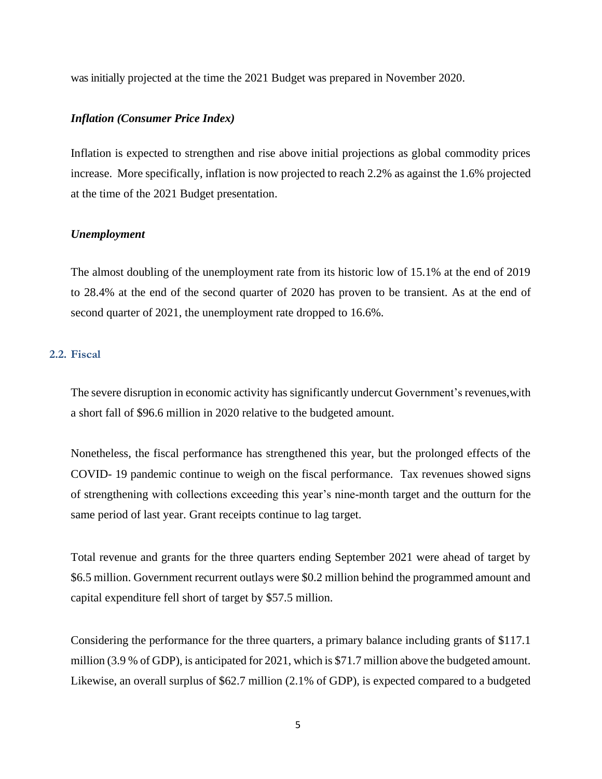was initially projected at the time the 2021 Budget was prepared in November 2020.

#### *Inflation (Consumer Price Index)*

Inflation is expected to strengthen and rise above initial projections as global commodity prices increase. More specifically, inflation is now projected to reach 2.2% as against the 1.6% projected at the time of the 2021 Budget presentation.

#### *Unemployment*

The almost doubling of the unemployment rate from its historic low of 15.1% at the end of 2019 to 28.4% at the end of the second quarter of 2020 has proven to be transient. As at the end of second quarter of 2021, the unemployment rate dropped to 16.6%.

#### **2.2. Fiscal**

The severe disruption in economic activity has significantly undercut Government's revenues,with a short fall of \$96.6 million in 2020 relative to the budgeted amount.

Nonetheless, the fiscal performance has strengthened this year, but the prolonged effects of the COVID- 19 pandemic continue to weigh on the fiscal performance. Tax revenues showed signs of strengthening with collections exceeding this year's nine-month target and the outturn for the same period of last year. Grant receipts continue to lag target.

Total revenue and grants for the three quarters ending September 2021 were ahead of target by \$6.5 million. Government recurrent outlays were \$0.2 million behind the programmed amount and capital expenditure fell short of target by \$57.5 million.

Considering the performance for the three quarters, a primary balance including grants of \$117.1 million (3.9 % of GDP), is anticipated for 2021, which is \$71.7 million above the budgeted amount. Likewise, an overall surplus of \$62.7 million (2.1% of GDP), is expected compared to a budgeted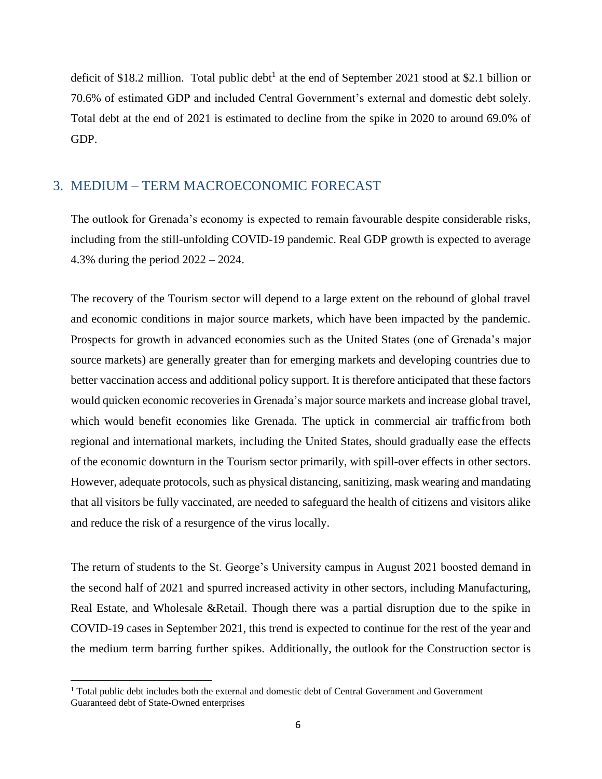deficit of \$18.2 million. Total public debt<sup>1</sup> at the end of September 2021 stood at \$2.1 billion or 70.6% of estimated GDP and included Central Government's external and domestic debt solely. Total debt at the end of 2021 is estimated to decline from the spike in 2020 to around 69.0% of GDP.

### <span id="page-4-0"></span>3. MEDIUM – TERM MACROECONOMIC FORECAST

The outlook for Grenada's economy is expected to remain favourable despite considerable risks, including from the still-unfolding COVID-19 pandemic. Real GDP growth is expected to average 4.3% during the period 2022 – 2024.

The recovery of the Tourism sector will depend to a large extent on the rebound of global travel and economic conditions in major source markets, which have been impacted by the pandemic. Prospects for growth in advanced economies such as the United States (one of Grenada's major source markets) are generally greater than for emerging markets and developing countries due to better vaccination access and additional policy support. It is therefore anticipated that these factors would quicken economic recoveries in Grenada's major source markets and increase global travel, which would benefit economies like Grenada. The uptick in commercial air trafficfrom both regional and international markets, including the United States, should gradually ease the effects of the economic downturn in the Tourism sector primarily, with spill-over effects in other sectors. However, adequate protocols, such as physical distancing, sanitizing, mask wearing and mandating that all visitors be fully vaccinated, are needed to safeguard the health of citizens and visitors alike and reduce the risk of a resurgence of the virus locally.

The return of students to the St. George's University campus in August 2021 boosted demand in the second half of 2021 and spurred increased activity in other sectors, including Manufacturing, Real Estate, and Wholesale &Retail. Though there was a partial disruption due to the spike in COVID-19 cases in September 2021, this trend is expected to continue for the rest of the year and the medium term barring further spikes. Additionally, the outlook for the Construction sector is

<sup>&</sup>lt;sup>1</sup> Total public debt includes both the external and domestic debt of Central Government and Government Guaranteed debt of State-Owned enterprises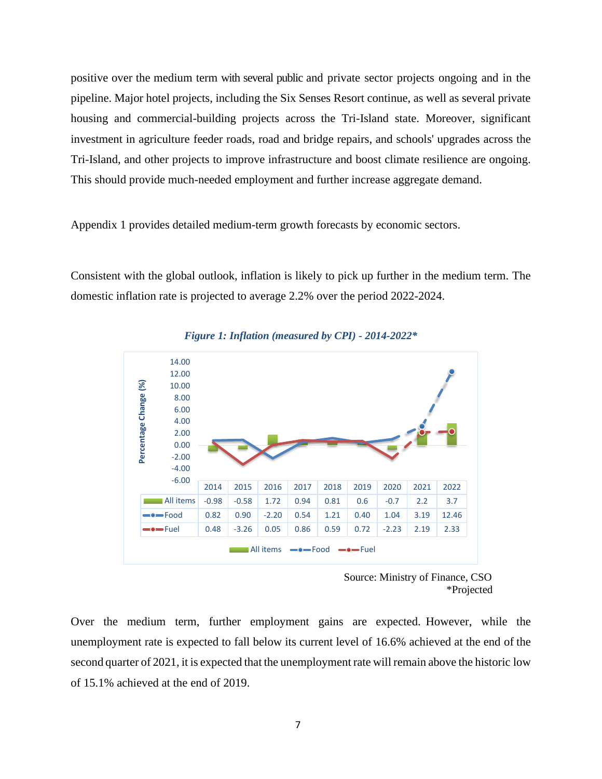positive over the medium term with several public and private sector projects ongoing and in the pipeline. Major hotel projects, including the Six Senses Resort continue, as well as several private housing and commercial-building projects across the Tri-Island state. Moreover, significant investment in agriculture feeder roads, road and bridge repairs, and schools' upgrades across the Tri-Island, and other projects to improve infrastructure and boost climate resilience are ongoing. This should provide much-needed employment and further increase aggregate demand.

Appendix 1 provides detailed medium-term growth forecasts by economic sectors.

Consistent with the global outlook, inflation is likely to pick up further in the medium term. The domestic inflation rate is projected to average 2.2% over the period 2022-2024.



*Figure 1: Inflation (measured by CPI) - 2014-2022\**

Over the medium term, further employment gains are expected. However, while the unemployment rate is expected to fall below its current level of 16.6% achieved at the end of the second quarter of 2021, it is expected that the unemployment rate will remain above the historic low of 15.1% achieved at the end of 2019.

Source: Ministry of Finance, CSO \*Projected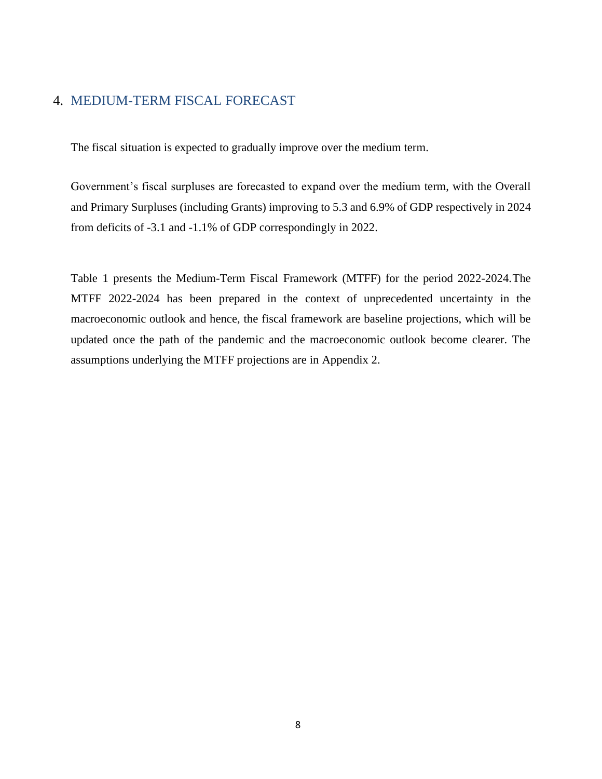### <span id="page-6-0"></span>4. MEDIUM-TERM FISCAL FORECAST

The fiscal situation is expected to gradually improve over the medium term.

Government's fiscal surpluses are forecasted to expand over the medium term, with the Overall and Primary Surpluses (including Grants) improving to 5.3 and 6.9% of GDP respectively in 2024 from deficits of -3.1 and -1.1% of GDP correspondingly in 2022.

Table 1 presents the Medium-Term Fiscal Framework (MTFF) for the period 2022-2024.The MTFF 2022-2024 has been prepared in the context of unprecedented uncertainty in the macroeconomic outlook and hence, the fiscal framework are baseline projections, which will be updated once the path of the pandemic and the macroeconomic outlook become clearer. The assumptions underlying the MTFF projections are in Appendix 2.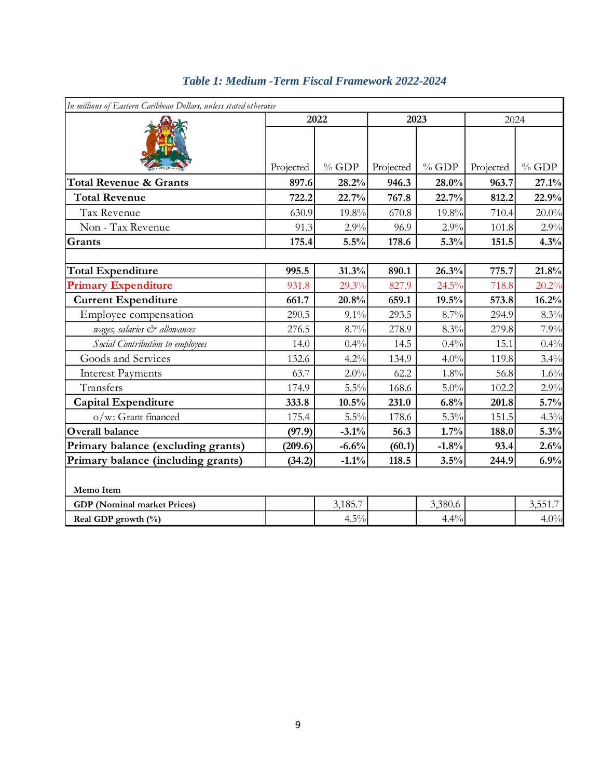| In millions of Eastern Caribbean Dollars, unless stated otherwise |           |         |           |         |           |         |
|-------------------------------------------------------------------|-----------|---------|-----------|---------|-----------|---------|
|                                                                   | 2022      |         | 2023      |         | 2024      |         |
|                                                                   | Projected | $%$ GDP | Projected | $%$ GDP | Projected | $%$ GDP |
| <b>Total Revenue &amp; Grants</b>                                 | 897.6     | 28.2%   | 946.3     | 28.0%   | 963.7     | 27.1%   |
| <b>Total Revenue</b>                                              | 722.2     | 22.7%   | 767.8     | 22.7%   | 812.2     | 22.9%   |
| Tax Revenue                                                       | 630.9     | 19.8%   | 670.8     | 19.8%   | 710.4     | 20.0%   |
| Non - Tax Revenue                                                 | 91.3      | 2.9%    | 96.9      | 2.9%    | 101.8     | 2.9%    |
| Grants                                                            | 175.4     | 5.5%    | 178.6     | 5.3%    | 151.5     | 4.3%    |
|                                                                   |           |         |           |         |           |         |
| <b>Total Expenditure</b>                                          | 995.5     | 31.3%   | 890.1     | 26.3%   | 775.7     | 21.8%   |
| <b>Primary Expenditure</b>                                        | 931.8     | 29.3%   | 827.9     | 24.5%   | 718.8     | 20.2%   |
| <b>Current Expenditure</b>                                        | 661.7     | 20.8%   | 659.1     | 19.5%   | 573.8     | 16.2%   |
| Employee compensation                                             | 290.5     | 9.1%    | 293.5     | 8.7%    | 294.9     | 8.3%    |
| wages, salaries & allowances                                      | 276.5     | 8.7%    | 278.9     | 8.3%    | 279.8     | 7.9%    |
| Social Contribution to employees                                  | 14.0      | 0.4%    | 14.5      | 0.4%    | 15.1      | 0.4%    |
| Goods and Services                                                | 132.6     | 4.2%    | 134.9     | 4.0%    | 119.8     | 3.4%    |
| <b>Interest Payments</b>                                          | 63.7      | 2.0%    | 62.2      | 1.8%    | 56.8      | 1.6%    |
| Transfers                                                         | 174.9     | $5.5\%$ | 168.6     | $5.0\%$ | 102.2     | 2.9%    |
| <b>Capital Expenditure</b>                                        | 333.8     | 10.5%   | 231.0     | 6.8%    | 201.8     | 5.7%    |
| o/w: Grant financed                                               | 175.4     | 5.5%    | 178.6     | 5.3%    | 151.5     | 4.3%    |
| Overall balance                                                   | (97.9)    | $-3.1%$ | 56.3      | 1.7%    | 188.0     | 5.3%    |
| Primary balance (excluding grants)                                | (209.6)   | $-6.6%$ | (60.1)    | $-1.8%$ | 93.4      | 2.6%    |
| Primary balance (including grants)                                | (34.2)    | $-1.1%$ | 118.5     | 3.5%    | 244.9     | 6.9%    |
| Memo Item                                                         |           |         |           |         |           |         |
| <b>GDP</b> (Nominal market Prices)                                |           | 3,185.7 |           | 3,380.6 |           | 3,551.7 |
| Real GDP growth (%)                                               |           | 4.5%    |           | 4.4%    |           | 4.0%    |

### *Table 1: Medium -Term Fiscal Framework 2022-2024*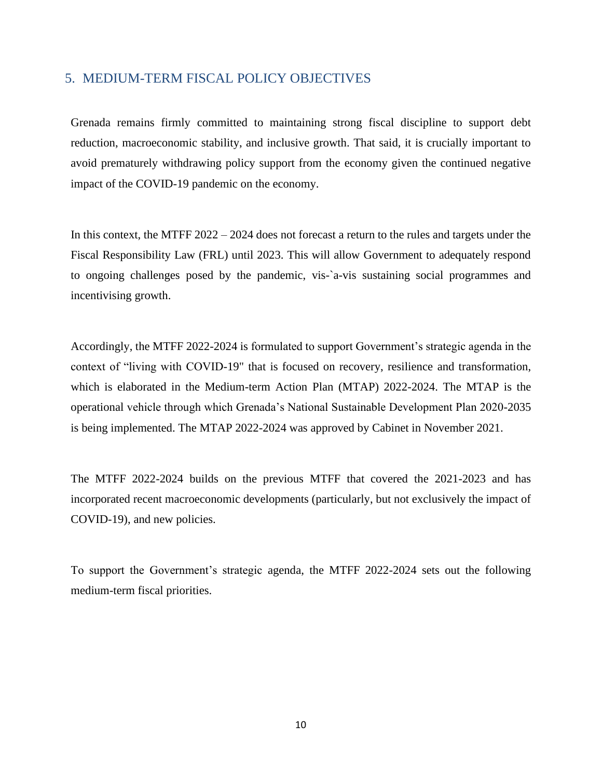### <span id="page-8-0"></span>5. MEDIUM-TERM FISCAL POLICY OBJECTIVES

Grenada remains firmly committed to maintaining strong fiscal discipline to support debt reduction, macroeconomic stability, and inclusive growth. That said, it is crucially important to avoid prematurely withdrawing policy support from the economy given the continued negative impact of the COVID-19 pandemic on the economy.

In this context, the MTFF 2022 – 2024 does not forecast a return to the rules and targets under the Fiscal Responsibility Law (FRL) until 2023. This will allow Government to adequately respond to ongoing challenges posed by the pandemic, vis-`a-vis sustaining social programmes and incentivising growth.

Accordingly, the MTFF 2022-2024 is formulated to support Government's strategic agenda in the context of "living with COVID-19" that is focused on recovery, resilience and transformation, which is elaborated in the Medium-term Action Plan (MTAP) 2022-2024. The MTAP is the operational vehicle through which Grenada's National Sustainable Development Plan 2020-2035 is being implemented. The MTAP 2022-2024 was approved by Cabinet in November 2021.

The MTFF 2022-2024 builds on the previous MTFF that covered the 2021-2023 and has incorporated recent macroeconomic developments (particularly, but not exclusively the impact of COVID-19), and new policies.

To support the Government's strategic agenda, the MTFF 2022-2024 sets out the following medium-term fiscal priorities.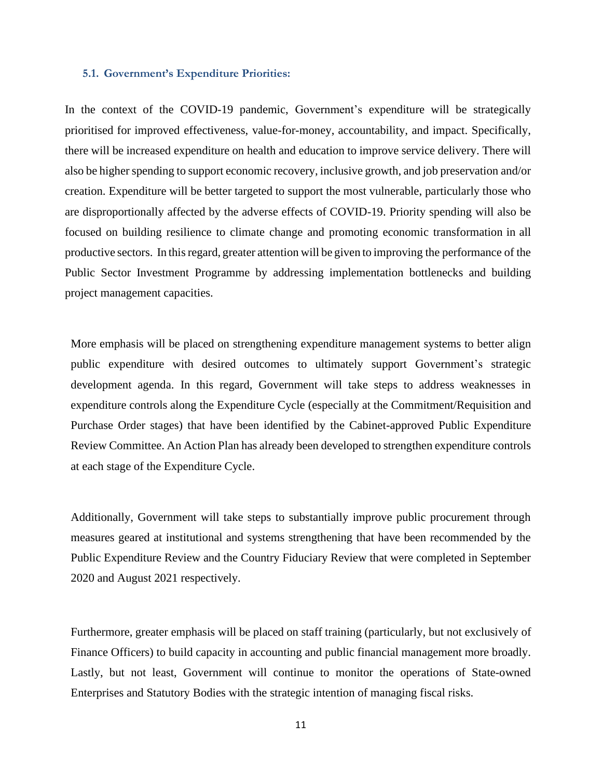#### **5.1. Government's Expenditure Priorities:**

In the context of the COVID-19 pandemic, Government's expenditure will be strategically prioritised for improved effectiveness, value-for-money, accountability, and impact. Specifically, there will be increased expenditure on health and education to improve service delivery. There will also be higher spending to support economic recovery, inclusive growth, and job preservation and/or creation. Expenditure will be better targeted to support the most vulnerable, particularly those who are disproportionally affected by the adverse effects of COVID-19. Priority spending will also be focused on building resilience to climate change and promoting economic transformation in all productive sectors. In thisregard, greater attention will be given to improving the performance of the Public Sector Investment Programme by addressing implementation bottlenecks and building project management capacities.

More emphasis will be placed on strengthening expenditure management systems to better align public expenditure with desired outcomes to ultimately support Government's strategic development agenda. In this regard, Government will take steps to address weaknesses in expenditure controls along the Expenditure Cycle (especially at the Commitment/Requisition and Purchase Order stages) that have been identified by the Cabinet-approved Public Expenditure Review Committee. An Action Plan has already been developed to strengthen expenditure controls at each stage of the Expenditure Cycle.

Additionally, Government will take steps to substantially improve public procurement through measures geared at institutional and systems strengthening that have been recommended by the Public Expenditure Review and the Country Fiduciary Review that were completed in September 2020 and August 2021 respectively.

Furthermore, greater emphasis will be placed on staff training (particularly, but not exclusively of Finance Officers) to build capacity in accounting and public financial management more broadly. Lastly, but not least, Government will continue to monitor the operations of State-owned Enterprises and Statutory Bodies with the strategic intention of managing fiscal risks.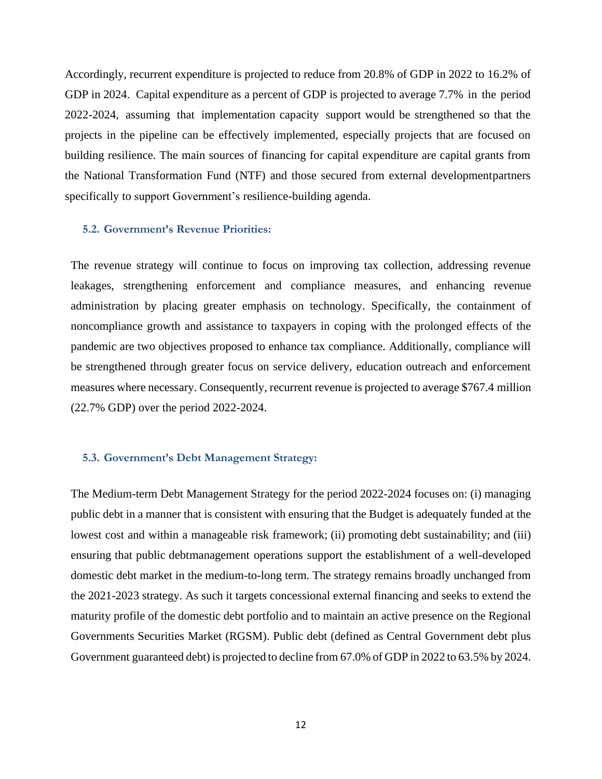Accordingly, recurrent expenditure is projected to reduce from 20.8% of GDP in 2022 to 16.2% of GDP in 2024. Capital expenditure as a percent of GDP is projected to average 7.7% in the period 2022-2024, assuming that implementation capacity support would be strengthened so that the projects in the pipeline can be effectively implemented, especially projects that are focused on building resilience. The main sources of financing for capital expenditure are capital grants from the National Transformation Fund (NTF) and those secured from external developmentpartners specifically to support Government's resilience-building agenda.

#### **5.2. Government's Revenue Priorities:**

The revenue strategy will continue to focus on improving tax collection, addressing revenue leakages, strengthening enforcement and compliance measures, and enhancing revenue administration by placing greater emphasis on technology. Specifically, the containment of noncompliance growth and assistance to taxpayers in coping with the prolonged effects of the pandemic are two objectives proposed to enhance tax compliance. Additionally, compliance will be strengthened through greater focus on service delivery, education outreach and enforcement measures where necessary. Consequently, recurrent revenue is projected to average \$767.4 million (22.7% GDP) over the period 2022-2024.

#### **5.3. Government's Debt Management Strategy:**

The Medium-term Debt Management Strategy for the period 2022-2024 focuses on: (i) managing public debt in a manner that is consistent with ensuring that the Budget is adequately funded at the lowest cost and within a manageable risk framework; (ii) promoting debt sustainability; and (iii) ensuring that public debtmanagement operations support the establishment of a well-developed domestic debt market in the medium-to-long term. The strategy remains broadly unchanged from the 2021-2023 strategy. As such it targets concessional external financing and seeks to extend the maturity profile of the domestic debt portfolio and to maintain an active presence on the Regional Governments Securities Market (RGSM). Public debt (defined as Central Government debt plus Government guaranteed debt) is projected to decline from 67.0% of GDP in 2022 to 63.5% by 2024.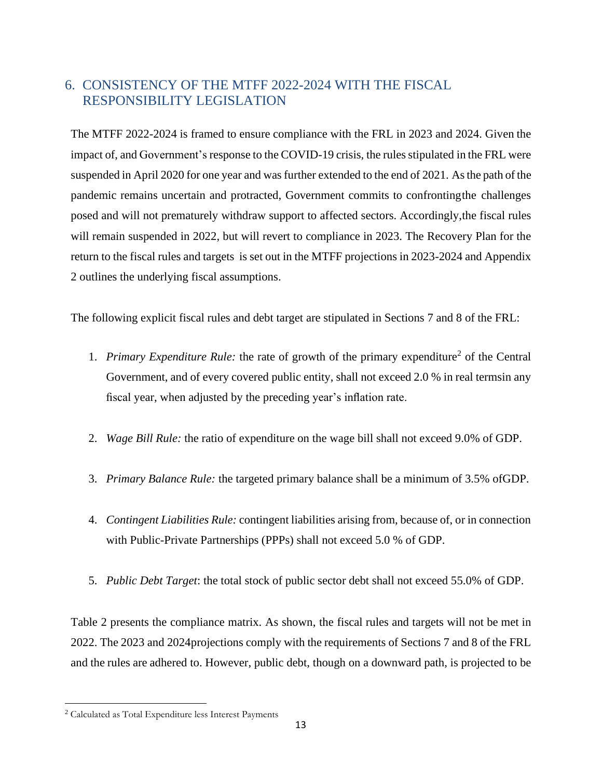## <span id="page-11-0"></span>6. CONSISTENCY OF THE MTFF 2022-2024 WITH THE FISCAL RESPONSIBILITY LEGISLATION

The MTFF 2022-2024 is framed to ensure compliance with the FRL in 2023 and 2024. Given the impact of, and Government's response to the COVID-19 crisis, the rules stipulated in the FRL were suspended in April 2020 for one year and was further extended to the end of 2021. As the path of the pandemic remains uncertain and protracted, Government commits to confrontingthe challenges posed and will not prematurely withdraw support to affected sectors. Accordingly,the fiscal rules will remain suspended in 2022, but will revert to compliance in 2023. The Recovery Plan for the return to the fiscal rules and targets is set out in the MTFF projections in 2023-2024 and Appendix 2 outlines the underlying fiscal assumptions.

The following explicit fiscal rules and debt target are stipulated in Sections 7 and 8 of the FRL:

- 1. Primary Expenditure Rule: the rate of growth of the primary expenditure<sup>2</sup> of the Central Government, and of every covered public entity, shall not exceed 2.0 % in real termsin any fiscal year, when adjusted by the preceding year's inflation rate.
- 2. *Wage Bill Rule:* the ratio of expenditure on the wage bill shall not exceed 9.0% of GDP.
- 3. *Primary Balance Rule:* the targeted primary balance shall be a minimum of 3.5% ofGDP.
- 4. *Contingent Liabilities Rule:* contingent liabilities arising from, because of, or in connection with Public-Private Partnerships (PPPs) shall not exceed 5.0 % of GDP.
- 5. *Public Debt Target*: the total stock of public sector debt shall not exceed 55.0% of GDP.

Table 2 presents the compliance matrix. As shown, the fiscal rules and targets will not be met in 2022. The 2023 and 2024projections comply with the requirements of Sections 7 and 8 of the FRL and the rules are adhered to. However, public debt, though on a downward path, is projected to be

<sup>2</sup> Calculated as Total Expenditure less Interest Payments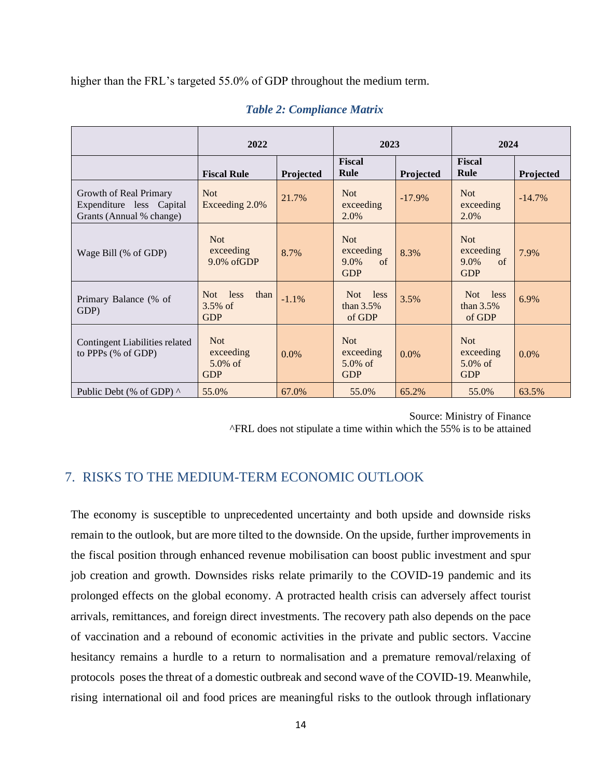higher than the FRL's targeted 55.0% of GDP throughout the medium term.

|                                                                                | 2022                                                |           | 2023                                                      |           | 2024                                                |           |
|--------------------------------------------------------------------------------|-----------------------------------------------------|-----------|-----------------------------------------------------------|-----------|-----------------------------------------------------|-----------|
|                                                                                | <b>Fiscal Rule</b>                                  | Projected | Fiscal<br>Rule                                            | Projected | <b>Fiscal</b><br>Rule                               | Projected |
| Growth of Real Primary<br>Expenditure less Capital<br>Grants (Annual % change) | <b>Not</b><br>Exceeding 2.0%                        | 21.7%     | <b>Not</b><br>exceeding<br>2.0%                           | $-17.9\%$ | <b>Not</b><br>exceeding<br>2.0%                     | $-14.7\%$ |
| Wage Bill (% of GDP)                                                           | <b>Not</b><br>exceeding<br>9.0% ofGDP               | 8.7%      | <b>Not</b><br>exceeding<br>$\sigma$<br>9.0%<br><b>GDP</b> | 8.3%      | <b>Not</b><br>exceeding<br>of<br>9.0%<br><b>GDP</b> | 7.9%      |
| Primary Balance (% of<br>GDP)                                                  | Not<br>less<br>than<br>3.5% of<br><b>GDP</b>        | $-1.1%$   | Not<br>less<br>than $3.5%$<br>of GDP                      | 3.5%      | Not<br>less<br>than $3.5\%$<br>of GDP               | 6.9%      |
| Contingent Liabilities related<br>to PPPs (% of GDP)                           | <b>Not</b><br>exceeding<br>$5.0\%$ of<br><b>GDP</b> | $0.0\%$   | <b>Not</b><br>exceeding<br>$5.0\%$ of<br><b>GDP</b>       | 0.0%      | <b>Not</b><br>exceeding<br>$5.0\%$ of<br><b>GDP</b> | $0.0\%$   |
| Public Debt (% of GDP) $\wedge$                                                | 55.0%                                               | 67.0%     | 55.0%                                                     | 65.2%     | 55.0%                                               | 63.5%     |

#### *Table 2: Compliance Matrix*

Source: Ministry of Finance ^FRL does not stipulate a time within which the 55% is to be attained

### <span id="page-12-0"></span>7. RISKS TO THE MEDIUM-TERM ECONOMIC OUTLOOK

The economy is susceptible to unprecedented uncertainty and both upside and downside risks remain to the outlook, but are more tilted to the downside. On the upside, further improvements in the fiscal position through enhanced revenue mobilisation can boost public investment and spur job creation and growth. Downsides risks relate primarily to the COVID-19 pandemic and its prolonged effects on the global economy. A protracted health crisis can adversely affect tourist arrivals, remittances, and foreign direct investments. The recovery path also depends on the pace of vaccination and a rebound of economic activities in the private and public sectors. Vaccine hesitancy remains a hurdle to a return to normalisation and a premature removal/relaxing of protocols poses the threat of a domestic outbreak and second wave of the COVID-19. Meanwhile, rising international oil and food prices are meaningful risks to the outlook through inflationary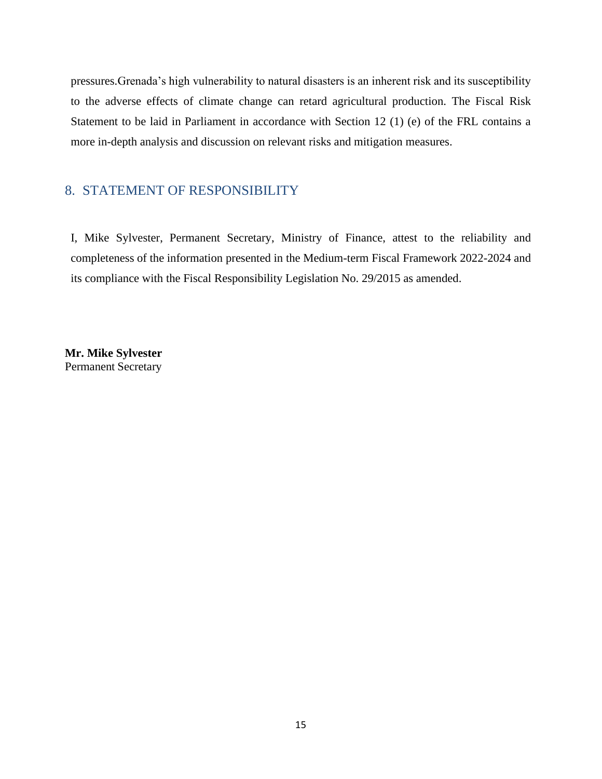pressures.Grenada's high vulnerability to natural disasters is an inherent risk and its susceptibility to the adverse effects of climate change can retard agricultural production. The Fiscal Risk Statement to be laid in Parliament in accordance with Section 12 (1) (e) of the FRL contains a more in-depth analysis and discussion on relevant risks and mitigation measures.

### <span id="page-13-0"></span>8. STATEMENT OF RESPONSIBILITY

I, Mike Sylvester, Permanent Secretary, Ministry of Finance, attest to the reliability and completeness of the information presented in the Medium-term Fiscal Framework 2022-2024 and its compliance with the Fiscal Responsibility Legislation No. 29/2015 as amended.

**Mr. Mike Sylvester** Permanent Secretary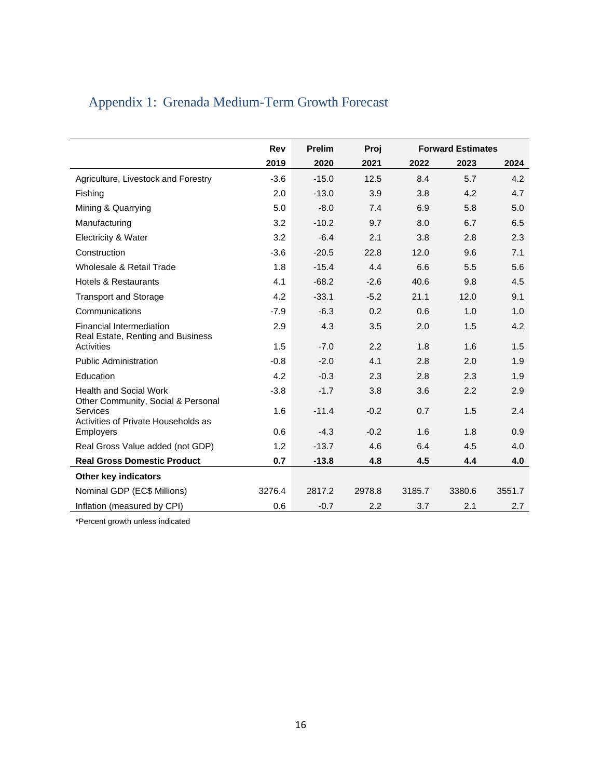<span id="page-14-0"></span>

| Appendix 1: Grenada Medium-Term Growth Forecast |  |  |  |  |  |
|-------------------------------------------------|--|--|--|--|--|
|-------------------------------------------------|--|--|--|--|--|

|                                                                     | Rev    | <b>Prelim</b> | Proj   | <b>Forward Estimates</b> |        |        |
|---------------------------------------------------------------------|--------|---------------|--------|--------------------------|--------|--------|
|                                                                     | 2019   | 2020          | 2021   | 2022                     | 2023   | 2024   |
| Agriculture, Livestock and Forestry                                 | $-3.6$ | $-15.0$       | 12.5   | 8.4                      | 5.7    | 4.2    |
| Fishing                                                             | 2.0    | $-13.0$       | 3.9    | 3.8                      | 4.2    | 4.7    |
| Mining & Quarrying                                                  | 5.0    | $-8.0$        | 7.4    | 6.9                      | 5.8    | 5.0    |
| Manufacturing                                                       | 3.2    | $-10.2$       | 9.7    | 8.0                      | 6.7    | 6.5    |
| Electricity & Water                                                 | 3.2    | $-6.4$        | 2.1    | 3.8                      | 2.8    | 2.3    |
| Construction                                                        | $-3.6$ | $-20.5$       | 22.8   | 12.0                     | 9.6    | 7.1    |
| Wholesale & Retail Trade                                            | 1.8    | $-15.4$       | 4.4    | 6.6                      | 5.5    | 5.6    |
| <b>Hotels &amp; Restaurants</b>                                     | 4.1    | $-68.2$       | $-2.6$ | 40.6                     | 9.8    | 4.5    |
| <b>Transport and Storage</b>                                        | 4.2    | $-33.1$       | $-5.2$ | 21.1                     | 12.0   | 9.1    |
| Communications                                                      | $-7.9$ | $-6.3$        | 0.2    | 0.6                      | 1.0    | 1.0    |
| Financial Intermediation<br>Real Estate, Renting and Business       | 2.9    | 4.3           | 3.5    | 2.0                      | 1.5    | 4.2    |
| Activities                                                          | 1.5    | $-7.0$        | 2.2    | 1.8                      | 1.6    | 1.5    |
| <b>Public Administration</b>                                        | $-0.8$ | $-2.0$        | 4.1    | 2.8                      | 2.0    | 1.9    |
| Education                                                           | 4.2    | $-0.3$        | 2.3    | 2.8                      | 2.3    | 1.9    |
| <b>Health and Social Work</b><br>Other Community, Social & Personal | $-3.8$ | $-1.7$        | 3.8    | 3.6                      | 2.2    | 2.9    |
| Services<br>Activities of Private Households as                     | 1.6    | $-11.4$       | $-0.2$ | 0.7                      | 1.5    | 2.4    |
| <b>Employers</b>                                                    | 0.6    | $-4.3$        | $-0.2$ | 1.6                      | 1.8    | 0.9    |
| Real Gross Value added (not GDP)                                    | 1.2    | $-13.7$       | 4.6    | 6.4                      | 4.5    | 4.0    |
| <b>Real Gross Domestic Product</b>                                  | 0.7    | $-13.8$       | 4.8    | 4.5                      | 4.4    | 4.0    |
| Other key indicators                                                |        |               |        |                          |        |        |
| Nominal GDP (EC\$ Millions)                                         | 3276.4 | 2817.2        | 2978.8 | 3185.7                   | 3380.6 | 3551.7 |
| Inflation (measured by CPI)                                         | 0.6    | $-0.7$        | 2.2    | 3.7                      | 2.1    | 2.7    |

\*Percent growth unless indicated